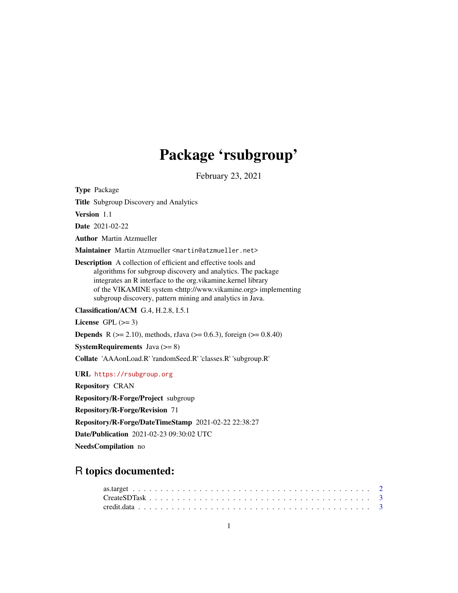## Package 'rsubgroup'

February 23, 2021

Type Package

Title Subgroup Discovery and Analytics

Version 1.1

Date 2021-02-22

Author Martin Atzmueller

Maintainer Martin Atzmueller <martin@atzmueller.net>

Description A collection of efficient and effective tools and algorithms for subgroup discovery and analytics. The package integrates an R interface to the org.vikamine.kernel library of the VIKAMINE system <http://www.vikamine.org> implementing subgroup discovery, pattern mining and analytics in Java.

Classification/ACM G.4, H.2.8, I.5.1

License GPL  $(>= 3)$ 

**Depends** R ( $>= 2.10$ ), methods, rJava ( $>= 0.6.3$ ), foreign ( $>= 0.8.40$ )

**SystemRequirements** Java  $(>= 8)$ 

Collate 'AAAonLoad.R' 'randomSeed.R' 'classes.R' 'subgroup.R'

URL <https://rsubgroup.org>

Repository CRAN

Repository/R-Forge/Project subgroup

Repository/R-Forge/Revision 71

Repository/R-Forge/DateTimeStamp 2021-02-22 22:38:27

Date/Publication 2021-02-23 09:30:02 UTC

NeedsCompilation no

### R topics documented: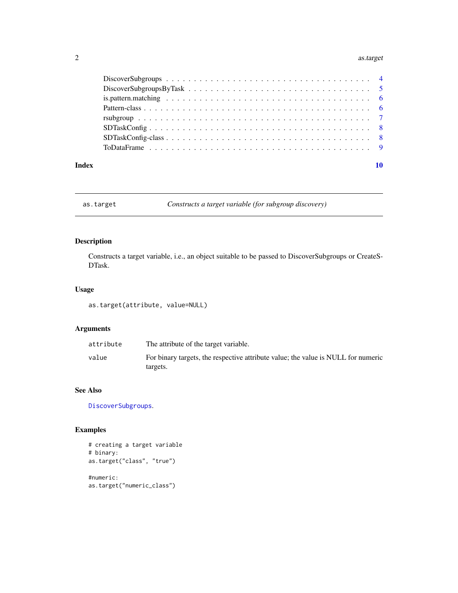#### <span id="page-1-0"></span>2 as.target

|       | is pattern matching $\ldots \ldots \ldots \ldots \ldots \ldots \ldots \ldots \ldots \ldots \ldots \ldots$ |
|-------|-----------------------------------------------------------------------------------------------------------|
|       |                                                                                                           |
|       |                                                                                                           |
|       |                                                                                                           |
|       |                                                                                                           |
|       |                                                                                                           |
| Index |                                                                                                           |
|       |                                                                                                           |

<span id="page-1-1"></span>as.target *Constructs a target variable (for subgroup discovery)*

#### Description

Constructs a target variable, i.e., an object suitable to be passed to DiscoverSubgroups or CreateS-DTask.

#### Usage

as.target(attribute, value=NULL)

#### Arguments

| attribute | The attribute of the target variable.                                             |
|-----------|-----------------------------------------------------------------------------------|
| value     | For binary targets, the respective attribute value; the value is NULL for numeric |
|           | targets.                                                                          |

#### See Also

[DiscoverSubgroups](#page-3-1).

#### Examples

```
# creating a target variable
# binary:
as.target("class", "true")
#numeric:
as.target("numeric_class")
```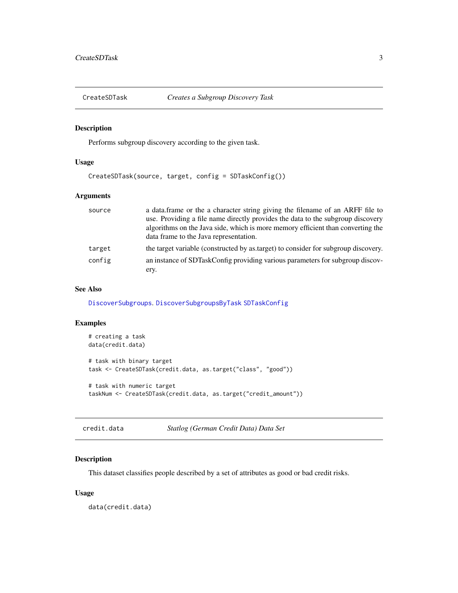<span id="page-2-1"></span><span id="page-2-0"></span>

#### Description

Performs subgroup discovery according to the given task.

#### Usage

CreateSDTask(source, target, config = SDTaskConfig())

#### Arguments

| source | a data.frame or the a character string giving the filename of an ARFF file to<br>use. Providing a file name directly provides the data to the subgroup discovery<br>algorithms on the Java side, which is more memory efficient than converting the<br>data frame to the Java representation. |
|--------|-----------------------------------------------------------------------------------------------------------------------------------------------------------------------------------------------------------------------------------------------------------------------------------------------|
| target | the target variable (constructed by as target) to consider for subgroup discovery.                                                                                                                                                                                                            |
| config | an instance of SDTaskConfig providing various parameters for subgroup discov-                                                                                                                                                                                                                 |
|        | ery.                                                                                                                                                                                                                                                                                          |

#### See Also

[DiscoverSubgroups](#page-3-1). [DiscoverSubgroupsByTask](#page-4-1) [SDTaskConfig](#page-7-1)

#### Examples

```
# creating a task
data(credit.data)
# task with binary target
task <- CreateSDTask(credit.data, as.target("class", "good"))
# task with numeric target
taskNum <- CreateSDTask(credit.data, as.target("credit_amount"))
```
credit.data *Statlog (German Credit Data) Data Set*

#### Description

This dataset classifies people described by a set of attributes as good or bad credit risks.

#### Usage

data(credit.data)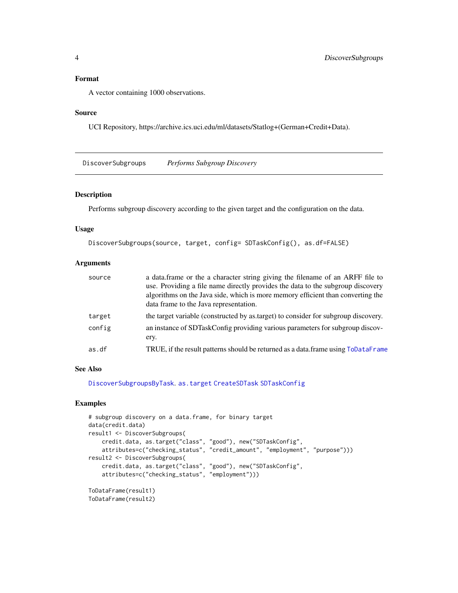#### <span id="page-3-0"></span>Format

A vector containing 1000 observations.

#### Source

UCI Repository, https://archive.ics.uci.edu/ml/datasets/Statlog+(German+Credit+Data).

<span id="page-3-1"></span>DiscoverSubgroups *Performs Subgroup Discovery*

#### Description

Performs subgroup discovery according to the given target and the configuration on the data.

#### Usage

```
DiscoverSubgroups(source, target, config= SDTaskConfig(), as.df=FALSE)
```
#### Arguments

| source | a data.frame or the a character string giving the filename of an ARFF file to<br>use. Providing a file name directly provides the data to the subgroup discovery<br>algorithms on the Java side, which is more memory efficient than converting the<br>data frame to the Java representation. |
|--------|-----------------------------------------------------------------------------------------------------------------------------------------------------------------------------------------------------------------------------------------------------------------------------------------------|
| target | the target variable (constructed by as target) to consider for subgroup discovery.                                                                                                                                                                                                            |
| config | an instance of SDTaskConfig providing various parameters for subgroup discov-<br>ery.                                                                                                                                                                                                         |
| as.df  | TRUE, if the result patterns should be returned as a data.frame using ToDataFrame                                                                                                                                                                                                             |

#### See Also

[DiscoverSubgroupsByTask](#page-4-1). [as.target](#page-1-1) [CreateSDTask](#page-2-1) [SDTaskConfig](#page-7-1)

#### Examples

```
# subgroup discovery on a data.frame, for binary target
data(credit.data)
result1 <- DiscoverSubgroups(
   credit.data, as.target("class", "good"), new("SDTaskConfig",
   attributes=c("checking_status", "credit_amount", "employment", "purpose")))
result2 <- DiscoverSubgroups(
    credit.data, as.target("class", "good"), new("SDTaskConfig",
    attributes=c("checking_status", "employment")))
ToDataFrame(result1)
ToDataFrame(result2)
```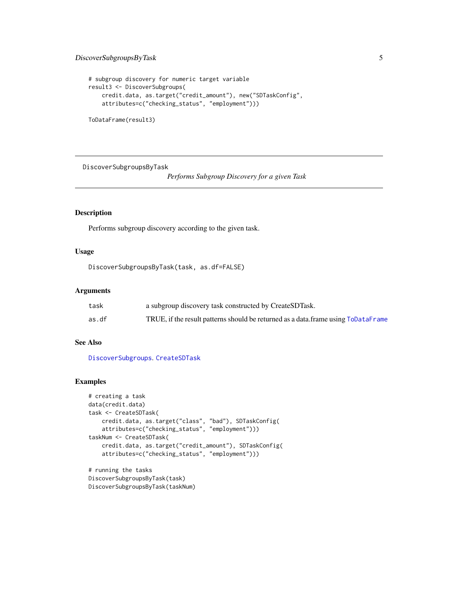#### <span id="page-4-0"></span>DiscoverSubgroupsByTask 5

```
# subgroup discovery for numeric target variable
result3 <- DiscoverSubgroups(
    credit.data, as.target("credit_amount"), new("SDTaskConfig",
    attributes=c("checking_status", "employment")))
```
ToDataFrame(result3)

<span id="page-4-1"></span>DiscoverSubgroupsByTask

*Performs Subgroup Discovery for a given Task*

#### Description

Performs subgroup discovery according to the given task.

#### Usage

```
DiscoverSubgroupsByTask(task, as.df=FALSE)
```
#### Arguments

| task  | a subgroup discovery task constructed by CreateSDTask.                            |
|-------|-----------------------------------------------------------------------------------|
| as.df | TRUE, if the result patterns should be returned as a data.frame using ToDataFrame |

#### See Also

[DiscoverSubgroups](#page-3-1). [CreateSDTask](#page-2-1)

#### Examples

```
# creating a task
data(credit.data)
task <- CreateSDTask(
   credit.data, as.target("class", "bad"), SDTaskConfig(
    attributes=c("checking_status", "employment")))
taskNum <- CreateSDTask(
   credit.data, as.target("credit_amount"), SDTaskConfig(
    attributes=c("checking_status", "employment")))
# running the tasks
```

```
DiscoverSubgroupsByTask(task)
DiscoverSubgroupsByTask(taskNum)
```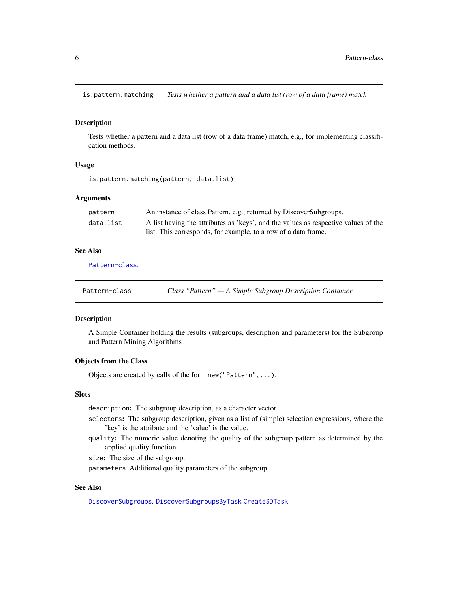<span id="page-5-0"></span>is.pattern.matching *Tests whether a pattern and a data list (row of a data frame) match*

#### Description

Tests whether a pattern and a data list (row of a data frame) match, e.g., for implementing classification methods.

#### Usage

is.pattern.matching(pattern, data.list)

#### Arguments

| pattern   | An instance of class Pattern, e.g., returned by DiscoverSubgroups.                 |
|-----------|------------------------------------------------------------------------------------|
| data.list | A list having the attributes as 'keys', and the values as respective values of the |
|           | list. This corresponds, for example, to a row of a data frame.                     |

#### See Also

[Pattern-class](#page-5-1).

<span id="page-5-1"></span>

| Class "Pattern" — A Simple Subgroup Description Container<br>Pattern-class |
|----------------------------------------------------------------------------|
|----------------------------------------------------------------------------|

#### Description

A Simple Container holding the results (subgroups, description and parameters) for the Subgroup and Pattern Mining Algorithms

#### Objects from the Class

Objects are created by calls of the form new("Pattern",...).

#### **Slots**

description: The subgroup description, as a character vector.

- selectors: The subgroup description, given as a list of (simple) selection expressions, where the 'key' is the attribute and the 'value' is the value.
- quality: The numeric value denoting the quality of the subgroup pattern as determined by the applied quality function.

size: The size of the subgroup.

parameters Additional quality parameters of the subgroup.

#### See Also

[DiscoverSubgroups](#page-3-1). [DiscoverSubgroupsByTask](#page-4-1) [CreateSDTask](#page-2-1)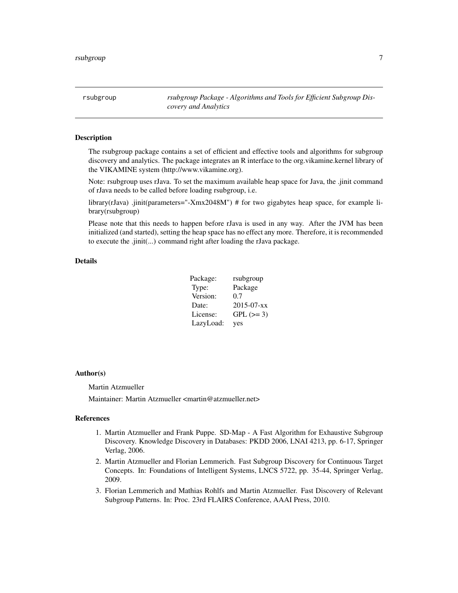<span id="page-6-0"></span>rsubgroup *rsubgroup Package - Algorithms and Tools for Efficient Subgroup Discovery and Analytics*

#### Description

The rsubgroup package contains a set of efficient and effective tools and algorithms for subgroup discovery and analytics. The package integrates an R interface to the org.vikamine.kernel library of the VIKAMINE system (http://www.vikamine.org).

Note: rsubgroup uses rJava. To set the maximum available heap space for Java, the .jinit command of rJava needs to be called before loading rsubgroup, i.e.

library(rJava) .jinit(parameters="-Xmx2048M") # for two gigabytes heap space, for example library(rsubgroup)

Please note that this needs to happen before rJava is used in any way. After the JVM has been initialized (and started), setting the heap space has no effect any more. Therefore, it is recommended to execute the .jinit(...) command right after loading the rJava package.

#### Details

| Package:  | rsubgroup        |
|-----------|------------------|
| Type:     | Package          |
| Version:  | 0.7              |
| Date:     | $2015 - 07 - xx$ |
| License:  | $GPL (=3)$       |
| LazyLoad: | yes              |

#### Author(s)

Martin Atzmueller

Maintainer: Martin Atzmueller <martin@atzmueller.net>

#### References

- 1. Martin Atzmueller and Frank Puppe. SD-Map A Fast Algorithm for Exhaustive Subgroup Discovery. Knowledge Discovery in Databases: PKDD 2006, LNAI 4213, pp. 6-17, Springer Verlag, 2006.
- 2. Martin Atzmueller and Florian Lemmerich. Fast Subgroup Discovery for Continuous Target Concepts. In: Foundations of Intelligent Systems, LNCS 5722, pp. 35-44, Springer Verlag, 2009.
- 3. Florian Lemmerich and Mathias Rohlfs and Martin Atzmueller. Fast Discovery of Relevant Subgroup Patterns. In: Proc. 23rd FLAIRS Conference, AAAI Press, 2010.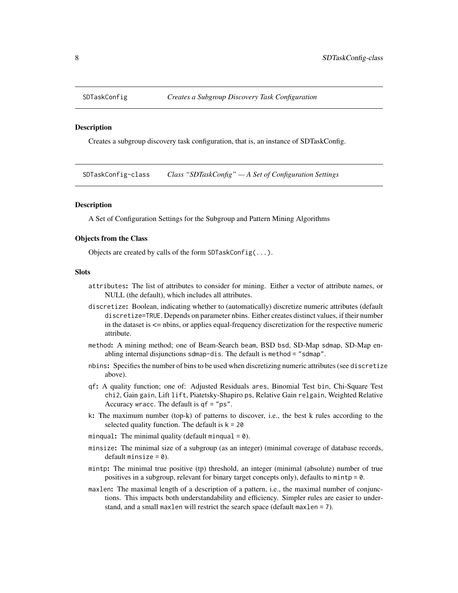<span id="page-7-1"></span><span id="page-7-0"></span>

#### Description

Creates a subgroup discovery task configuration, that is, an instance of SDTaskConfig.

SDTaskConfig-class *Class "SDTaskConfig" — A Set of Configuration Settings*

#### **Description**

A Set of Configuration Settings for the Subgroup and Pattern Mining Algorithms

#### Objects from the Class

Objects are created by calls of the form SDTaskConfig(...).

#### Slots

- attributes: The list of attributes to consider for mining. Either a vector of attribute names, or NULL (the default), which includes all attributes.
- discretize: Boolean, indicating whether to (automatically) discretize numeric attributes (default discretize=TRUE. Depends on parameter nbins. Either creates distinct values, if their number in the dataset is <= nbins, or applies equal-frequency discretization for the respective numeric attribute.
- method: A mining method; one of Beam-Search beam, BSD bsd, SD-Map sdmap, SD-Map enabling internal disjunctions sdmap-dis. The default is method = "sdmap".
- nbins: Specifies the number of bins to be used when discretizing numeric attributes (see discretize above).
- qf: A quality function; one of: Adjusted Residuals ares, Binomial Test bin, Chi-Square Test chi2, Gain gain, Lift lift, Piatetsky-Shapiro ps, Relative Gain relgain, Weighted Relative Accuracy wracc. The default is qf = "ps".
- k: The maximum number (top-k) of patterns to discover, i.e., the best k rules according to the selected quality function. The default is  $k = 20$
- minqual: The minimal quality (default minqual =  $0$ ).
- minsize: The minimal size of a subgroup (as an integer) (minimal coverage of database records, default minsize  $= 0$ ).
- mintp: The minimal true positive (tp) threshold, an integer (minimal (absolute) number of true positives in a subgroup, relevant for binary target concepts only), defaults to mintp = 0.
- maxlen: The maximal length of a description of a pattern, i.e., the maximal number of conjunctions. This impacts both understandability and efficiency. Simpler rules are easier to understand, and a small maxlen will restrict the search space (default maxlen = 7).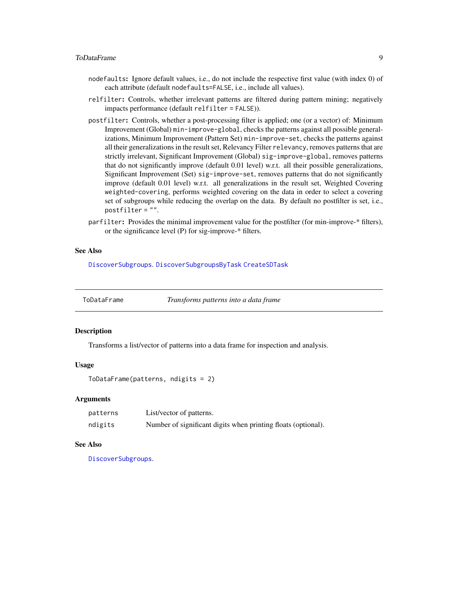#### <span id="page-8-0"></span>ToDataFrame 9

- nodefaults: Ignore default values, i.e., do not include the respective first value (with index 0) of each attribute (default nodefaults=FALSE, i.e., include all values).
- relfilter: Controls, whether irrelevant patterns are filtered during pattern mining; negatively impacts performance (default relfilter = FALSE)).
- postfilter: Controls, whether a post-processing filter is applied; one (or a vector) of: Minimum Improvement (Global) min-improve-global, checks the patterns against all possible generalizations, Minimum Improvement (Pattern Set) min-improve-set, checks the patterns against all their generalizations in the result set, Relevancy Filter relevancy, removes patterns that are strictly irrelevant, Significant Improvement (Global) sig-improve-global, removes patterns that do not significantly improve (default 0.01 level) w.r.t. all their possible generalizations, Significant Improvement (Set) sig-improve-set, removes patterns that do not significantly improve (default 0.01 level) w.r.t. all generalizations in the result set, Weighted Covering weighted-covering, performs weighted covering on the data in order to select a covering set of subgroups while reducing the overlap on the data. By default no postfilter is set, i.e., postfilter = "".
- parfilter: Provides the minimal improvement value for the postfilter (for min-improve-\* filters), or the significance level (P) for sig-improve-\* filters.

#### See Also

[DiscoverSubgroups](#page-3-1). [DiscoverSubgroupsByTask](#page-4-1) [CreateSDTask](#page-2-1)

<span id="page-8-1"></span>ToDataFrame *Transforms patterns into a data frame*

#### **Description**

Transforms a list/vector of patterns into a data frame for inspection and analysis.

#### Usage

```
ToDataFrame(patterns, ndigits = 2)
```
#### Arguments

| patterns | List/vector of patterns.                                      |
|----------|---------------------------------------------------------------|
| ndigits  | Number of significant digits when printing floats (optional). |

#### See Also

[DiscoverSubgroups](#page-3-1).